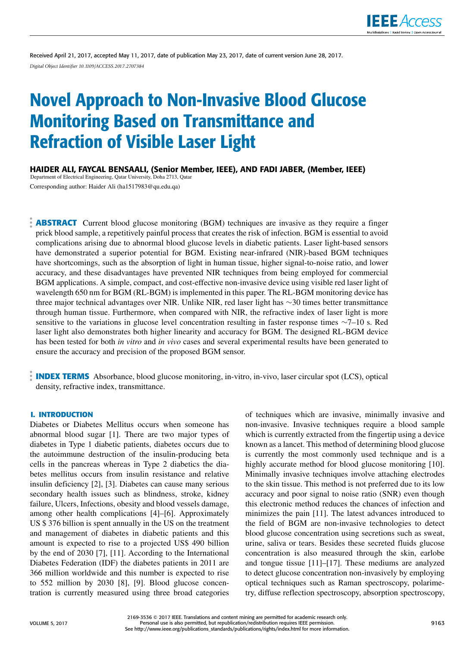

Received April 21, 2017, accepted May 11, 2017, date of publication May 23, 2017, date of current version June 28, 2017. *Digital Object Identifier 10.1109/ACCESS.2017.2707384*

# Novel Approach to Non-Invasive Blood Glucose Monitoring Based on Transmittance and Refraction of Visible Laser Light

HAIDER ALI, FAYCAL BENSAALI, (Senior Member, IEEE), AND FADI JABER, (Member, IEEE)

Department of Electrical Engineering, Qatar University, Doha 2713, Qatar Corresponding author: Haider Ali (ha1517983@qu.edu.qa)

**ABSTRACT** Current blood glucose monitoring (BGM) techniques are invasive as they require a finger prick blood sample, a repetitively painful process that creates the risk of infection. BGM is essential to avoid complications arising due to abnormal blood glucose levels in diabetic patients. Laser light-based sensors have demonstrated a superior potential for BGM. Existing near-infrared (NIR)-based BGM techniques have shortcomings, such as the absorption of light in human tissue, higher signal-to-noise ratio, and lower accuracy, and these disadvantages have prevented NIR techniques from being employed for commercial BGM applications. A simple, compact, and cost-effective non-invasive device using visible red laser light of wavelength 650 nm for BGM (RL-BGM) is implemented in this paper. The RL-BGM monitoring device has three major technical advantages over NIR. Unlike NIR, red laser light has ∼30 times better transmittance through human tissue. Furthermore, when compared with NIR, the refractive index of laser light is more sensitive to the variations in glucose level concentration resulting in faster response times ∼7–10 s. Red laser light also demonstrates both higher linearity and accuracy for BGM. The designed RL-BGM device has been tested for both *in vitro* and *in vivo* cases and several experimental results have been generated to ensure the accuracy and precision of the proposed BGM sensor.

**INDEX TERMS** Absorbance, blood glucose monitoring, in-vitro, in-vivo, laser circular spot (LCS), optical density, refractive index, transmittance.

## **I. INTRODUCTION**

Diabetes or Diabetes Mellitus occurs when someone has abnormal blood sugar [1]. There are two major types of diabetes in Type 1 diabetic patients, diabetes occurs due to the autoimmune destruction of the insulin-producing beta cells in the pancreas whereas in Type 2 diabetics the diabetes mellitus occurs from insulin resistance and relative insulin deficiency [2], [3]. Diabetes can cause many serious secondary health issues such as blindness, stroke, kidney failure, Ulcers, Infections, obesity and blood vessels damage, among other health complications [4]–[6]. Approximately US \$ 376 billion is spent annually in the US on the treatment and management of diabetes in diabetic patients and this amount is expected to rise to a projected US\$ 490 billion by the end of 2030 [7], [11]. According to the International Diabetes Federation (IDF) the diabetes patients in 2011 are 366 million worldwide and this number is expected to rise to 552 million by 2030 [8], [9]. Blood glucose concentration is currently measured using three broad categories of techniques which are invasive, minimally invasive and non-invasive. Invasive techniques require a blood sample which is currently extracted from the fingertip using a device known as a lancet. This method of determining blood glucose is currently the most commonly used technique and is a highly accurate method for blood glucose monitoring [10]. Minimally invasive techniques involve attaching electrodes to the skin tissue. This method is not preferred due to its low accuracy and poor signal to noise ratio (SNR) even though this electronic method reduces the chances of infection and minimizes the pain [11]. The latest advances introduced to the field of BGM are non-invasive technologies to detect blood glucose concentration using secretions such as sweat, urine, saliva or tears. Besides these secreted fluids glucose concentration is also measured through the skin, earlobe and tongue tissue [11]–[17]. These mediums are analyzed to detect glucose concentration non-invasively by employing optical techniques such as Raman spectroscopy, polarimetry, diffuse reflection spectroscopy, absorption spectroscopy,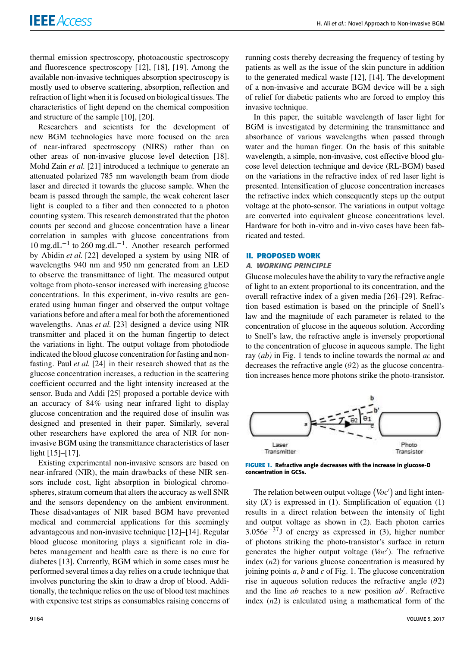thermal emission spectroscopy, photoacoustic spectroscopy and fluorescence spectroscopy [12], [18], [19]. Among the available non-invasive techniques absorption spectroscopy is mostly used to observe scattering, absorption, reflection and refraction of light when it is focused on biological tissues. The characteristics of light depend on the chemical composition and structure of the sample [10], [20].

Researchers and scientists for the development of new BGM technologies have more focused on the area of near-infrared spectroscopy (NIRS) rather than on other areas of non-invasive glucose level detection [18]. Mohd Zain *et al.* [21] introduced a technique to generate an attenuated polarized 785 nm wavelength beam from diode laser and directed it towards the glucose sample. When the beam is passed through the sample, the weak coherent laser light is coupled to a fiber and then connected to a photon counting system. This research demonstrated that the photon counts per second and glucose concentration have a linear correlation in samples with glucose concentrations from 10 mg.dL−<sup>1</sup> to 260 mg.dL−<sup>1</sup> . Another research performed by Abidin *et al.* [22] developed a system by using NIR of wavelengths 940 nm and 950 nm generated from an LED to observe the transmittance of light. The measured output voltage from photo-sensor increased with increasing glucose concentrations. In this experiment, in-vivo results are generated using human finger and observed the output voltage variations before and after a meal for both the aforementioned wavelengths. Anas *et al.* [23] designed a device using NIR transmitter and placed it on the human fingertip to detect the variations in light. The output voltage from photodiode indicated the blood glucose concentration for fasting and nonfasting. Paul *et al.* [24] in their research showed that as the glucose concentration increases, a reduction in the scattering coefficient occurred and the light intensity increased at the sensor. Buda and Addi [25] proposed a portable device with an accuracy of 84% using near infrared light to display glucose concentration and the required dose of insulin was designed and presented in their paper. Similarly, several other researchers have explored the area of NIR for noninvasive BGM using the transmittance characteristics of laser light [15]–[17].

Existing experimental non-invasive sensors are based on near-infrared (NIR), the main drawbacks of these NIR sensors include cost, light absorption in biological chromospheres, stratum corneum that alters the accuracy as well SNR and the sensors dependency on the ambient environment. These disadvantages of NIR based BGM have prevented medical and commercial applications for this seemingly advantageous and non-invasive technique [12]–[14]. Regular blood glucose monitoring plays a significant role in diabetes management and health care as there is no cure for diabetes [13]. Currently, BGM which in some cases must be performed several times a day relies on a crude technique that involves puncturing the skin to draw a drop of blood. Additionally, the technique relies on the use of blood test machines with expensive test strips as consumables raising concerns of running costs thereby decreasing the frequency of testing by patients as well as the issue of the skin puncture in addition to the generated medical waste [12], [14]. The development of a non-invasive and accurate BGM device will be a sigh of relief for diabetic patients who are forced to employ this invasive technique.

In this paper, the suitable wavelength of laser light for BGM is investigated by determining the transmittance and absorbance of various wavelengths when passed through water and the human finger. On the basis of this suitable wavelength, a simple, non-invasive, cost effective blood glucose level detection technique and device (RL-BGM) based on the variations in the refractive index of red laser light is presented. Intensification of glucose concentration increases the refractive index which consequently steps up the output voltage at the photo-sensor. The variations in output voltage are converted into equivalent glucose concentrations level. Hardware for both in-vitro and in-vivo cases have been fabricated and tested.

#### **II. PROPOSED WORK**

#### A. WORKING PRINCIPLE

Glucose molecules have the ability to vary the refractive angle of light to an extent proportional to its concentration, and the overall refractive index of a given media [26]–[29]. Refraction based estimation is based on the principle of Snell's law and the magnitude of each parameter is related to the concentration of glucose in the aqueous solution. According to Snell's law, the refractive angle is inversely proportional to the concentration of glucose in aqueous sample. The light ray (*ab)* in Fig. 1 tends to incline towards the normal *ac* and decreases the refractive angle  $(\theta 2)$  as the glucose concentration increases hence more photons strike the photo-transistor.



**FIGURE 1.** Refractive angle decreases with the increase in glucose-D concentration in GCSs.

The relation between output voltage  $(Voc')$  and light intensity  $(X)$  is expressed in  $(1)$ . Simplification of equation  $(1)$ results in a direct relation between the intensity of light and output voltage as shown in (2). Each photon carries 3.056*e* <sup>−</sup>37J of energy as expressed in (3), higher number of photons striking the photo-transistor's surface in return generates the higher output voltage (*Voc*′ ). The refractive index (*n*2) for various glucose concentration is measured by joining points *a*, *b* and *c* of Fig. 1. The glucose concentration rise in aqueous solution reduces the refractive angle  $(\theta 2)$ and the line *ab* reaches to a new position *ab*′ . Refractive index (*n*2) is calculated using a mathematical form of the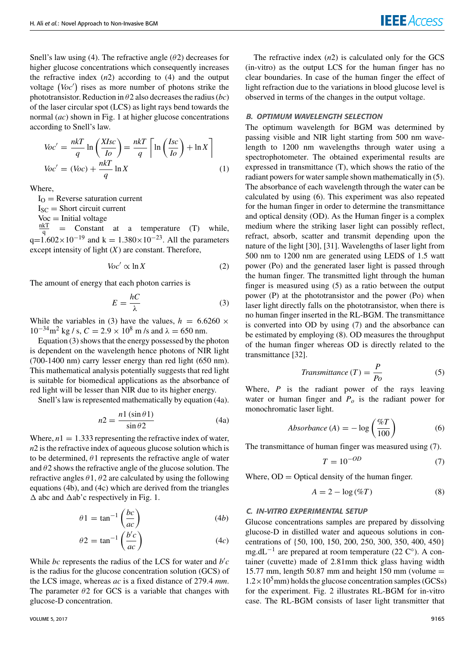Snell's law using (4). The refractive angle  $(\theta 2)$  decreases for higher glucose concentrations which consequently increases the refractive index  $(n2)$  according to  $(4)$  and the output voltage (Voc') rises as more number of photons strike the phototransistor. Reduction in θ2 also decreases the radius (*bc*) of the laser circular spot (LCS) as light rays bend towards the normal (*ac*) shown in Fig. 1 at higher glucose concentrations according to Snell's law.

$$
Voc' = \frac{n k T}{q} \ln \left( \frac{X I s c}{I o} \right) = \frac{n k T}{q} \left[ \ln \left( \frac{I s c}{I o} \right) + \ln X \right]
$$
  
\n
$$
Voc' = (Voc) + \frac{n k T}{q} \ln X
$$
 (1)

Where,

 $I_{\Omega}$  = Reverse saturation current

 $I_{SC}$  = Short circuit current

 $Voc = Initial voltage$ 

nkT = Constant at a temperature (T) while,  $q=1.602\times10^{-19}$  and k = 1.380×10<sup>-23</sup>. All the parameters except intensity of light  $(X)$  are constant. Therefore,

$$
Voc' \propto \ln X \tag{2}
$$

The amount of energy that each photon carries is

$$
E = \frac{hC}{\lambda} \tag{3}
$$

While the variables in (3) have the values,  $h = 6.6260 \times$  $10^{-34}$ m<sup>2</sup> kg / s,  $C = 2.9 \times 10^8$  m /s and  $\lambda = 650$  nm.

Equation (3) shows that the energy possessed by the photon is dependent on the wavelength hence photons of NIR light (700-1400 nm) carry lesser energy than red light (650 nm). This mathematical analysis potentially suggests that red light is suitable for biomedical applications as the absorbance of red light will be lesser than NIR due to its higher energy.

Snell's law is represented mathematically by equation (4a).

$$
n2 = \frac{n1(\sin \theta 1)}{\sin \theta 2}
$$
 (4a)

Where,  $n1 = 1.333$  representing the refractive index of water, *n*2 is the refractive index of aqueous glucose solution which is to be determined,  $\theta$ 1 represents the refractive angle of water and  $\theta$ 2 shows the refractive angle of the glucose solution. The refractive angles  $\theta$ 1,  $\theta$ 2 are calculated by using the following equations (4b), and (4c) which are derived from the triangles  $\Delta$  abc and  $\Delta$ ab'c respectively in Fig. 1.

$$
\theta 1 = \tan^{-1} \left( \frac{bc}{ac} \right) \tag{4b}
$$

$$
\theta 2 = \tan^{-1} \left( \frac{b'c}{ac} \right) \tag{4c}
$$

While *bc* represents the radius of the LCS for water and  $b'c$ is the radius for the glucose concentration solution (GCS) of the LCS image, whereas *ac* is a fixed distance of 279.4 *mm*. The parameter  $\theta$ 2 for GCS is a variable that changes with glucose-D concentration.

The refractive index  $(n2)$  is calculated only for the GCS (in-vitro) as the output LCS for the human finger has no clear boundaries. In case of the human finger the effect of light refraction due to the variations in blood glucose level is observed in terms of the changes in the output voltage.

## B. OPTIMUM WAVELENGTH SELECTION

The optimum wavelength for BGM was determined by passing visible and NIR light starting from 500 nm wavelength to 1200 nm wavelengths through water using a spectrophotometer. The obtained experimental results are expressed in transmittance (T), which shows the ratio of the radiant powers for water sample shown mathematically in (5). The absorbance of each wavelength through the water can be calculated by using (6). This experiment was also repeated for the human finger in order to determine the transmittance and optical density (OD). As the Human finger is a complex medium where the striking laser light can possibly reflect, refract, absorb, scatter and transmit depending upon the nature of the light [30], [31]. Wavelengths of laser light from 500 nm to 1200 nm are generated using LEDS of 1.5 watt power (Po) and the generated laser light is passed through the human finger. The transmitted light through the human finger is measured using (5) as a ratio between the output power (P) at the phototransistor and the power (Po) when laser light directly falls on the phototransistor, when there is no human finger inserted in the RL-BGM. The transmittance is converted into OD by using (7) and the absorbance can be estimated by employing (8). OD measures the throughput of the human finger whereas OD is directly related to the transmittance [32].

$$
Transmittance(T) = \frac{P}{P_O}
$$
\n<sup>(5)</sup>

Where, *P* is the radiant power of the rays leaving water or human finger and  $P$ <sup> $o$ </sup> is the radiant power for monochromatic laser light.

$$
Absorbance (A) = -\log\left(\frac{\%T}{100}\right) \tag{6}
$$

The transmittance of human finger was measured using (7).

$$
T = 10^{-OD} \tag{7}
$$

Where,  $OD = Optical density of the human finger.$ 

$$
A = 2 - \log(\%T) \tag{8}
$$

## C. IN-VITRO EXPERIMENTAL SETUP

Glucose concentrations samples are prepared by dissolving glucose-D in distilled water and aqueous solutions in concentrations of {50, 100, 150, 200, 250, 300, 350, 400, 450} mg.dL<sup>-1</sup> are prepared at room temperature (22 C°). A container (cuvette) made of 2.81mm thick glass having width 15.77 mm, length 50.87 mm and height 150 mm (volume  $=$  $1.2 \times 10^5$  mm) holds the glucose concentration samples (GCSs) for the experiment. Fig. 2 illustrates RL-BGM for in-vitro case. The RL-BGM consists of laser light transmitter that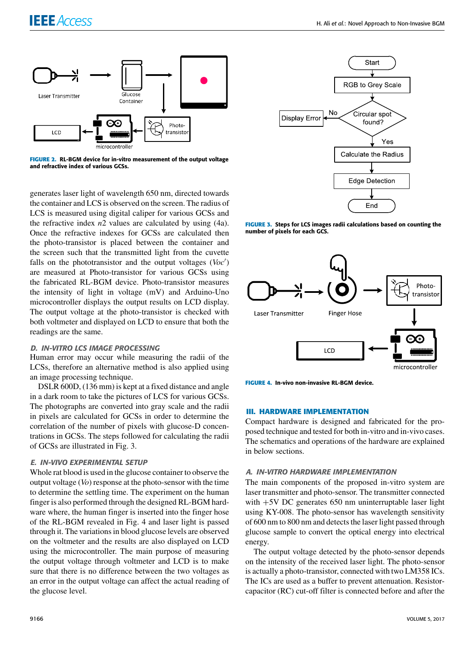

**FIGURE 2.** RL-BGM device for in-vitro measurement of the output voltage and refractive index of various GCSs.

generates laser light of wavelength 650 nm, directed towards the container and LCS is observed on the screen. The radius of LCS is measured using digital caliper for various GCSs and the refractive index *n*2 values are calculated by using (4a). Once the refractive indexes for GCSs are calculated then the photo-transistor is placed between the container and the screen such that the transmitted light from the cuvette falls on the phototransistor and the output voltages (*Voc*′ ) are measured at Photo-transistor for various GCSs using the fabricated RL-BGM device. Photo-transistor measures the intensity of light in voltage (mV) and Arduino-Uno microcontroller displays the output results on LCD display. The output voltage at the photo-transistor is checked with both voltmeter and displayed on LCD to ensure that both the readings are the same.

## D. IN-VITRO LCS IMAGE PROCESSING

Human error may occur while measuring the radii of the LCSs, therefore an alternative method is also applied using an image processing technique.

DSLR 600D, (136 mm) is kept at a fixed distance and angle in a dark room to take the pictures of LCS for various GCSs. The photographs are converted into gray scale and the radii in pixels are calculated for GCSs in order to determine the correlation of the number of pixels with glucose-D concentrations in GCSs. The steps followed for calculating the radii of GCSs are illustrated in Fig. 3.

## E. IN-VIVO EXPERIMENTAL SETUP

Whole rat blood is used in the glucose container to observe the output voltage (*Vo*) response at the photo-sensor with the time to determine the settling time. The experiment on the human finger is also performed through the designed RL-BGM hardware where, the human finger is inserted into the finger hose of the RL-BGM revealed in Fig. 4 and laser light is passed through it. The variations in blood glucose levels are observed on the voltmeter and the results are also displayed on LCD using the microcontroller. The main purpose of measuring the output voltage through voltmeter and LCD is to make sure that there is no difference between the two voltages as an error in the output voltage can affect the actual reading of the glucose level.



**FIGURE 3.** Steps for LCS images radii calculations based on counting the number of pixels for each GCS.



**FIGURE 4.** In-vivo non-invasive RL-BGM device.

#### **III. HARDWARE IMPLEMENTATION**

Compact hardware is designed and fabricated for the proposed technique and tested for both in-vitro and in-vivo cases. The schematics and operations of the hardware are explained in below sections.

#### A. IN-VITRO HARDWARE IMPLEMENTATION

The main components of the proposed in-vitro system are laser transmitter and photo-sensor. The transmitter connected with  $+5V$  DC generates 650 nm uninterruptable laser light using KY-008. The photo-sensor has wavelength sensitivity of 600 nm to 800 nm and detects the laser light passed through glucose sample to convert the optical energy into electrical energy.

The output voltage detected by the photo-sensor depends on the intensity of the received laser light. The photo-sensor is actually a photo-transistor, connected with two LM358 ICs. The ICs are used as a buffer to prevent attenuation. Resistorcapacitor (RC) cut-off filter is connected before and after the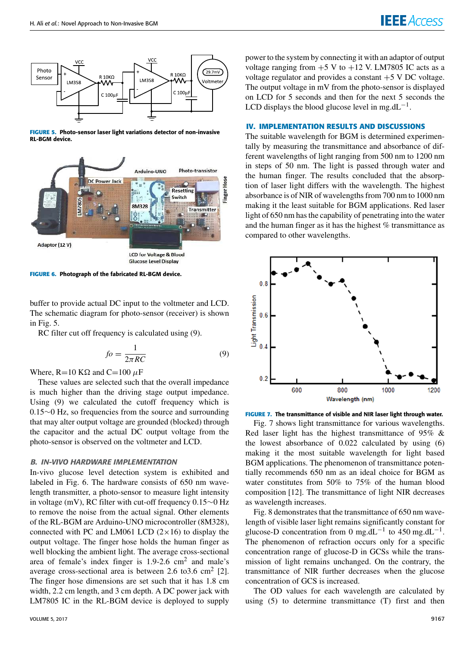

**FIGURE 5.** Photo-sensor laser light variations detector of non-invasive RL-BGM device.



**FIGURE 6.** Photograph of the fabricated RL-BGM device.

buffer to provide actual DC input to the voltmeter and LCD. The schematic diagram for photo-sensor (receiver) is shown in Fig. 5.

RC filter cut off frequency is calculated using (9).

$$
fo = \frac{1}{2\pi RC} \tag{9}
$$

Where, R=10 K $\Omega$  and C=100  $\mu$ F

These values are selected such that the overall impedance is much higher than the driving stage output impedance. Using (9) we calculated the cutoff frequency which is 0.15∼0 Hz, so frequencies from the source and surrounding that may alter output voltage are grounded (blocked) through the capacitor and the actual DC output voltage from the photo-sensor is observed on the voltmeter and LCD.

### B. IN-VIVO HARDWARE IMPLEMENTATION

In-vivo glucose level detection system is exhibited and labeled in Fig. 6. The hardware consists of 650 nm wavelength transmitter, a photo-sensor to measure light intensity in voltage (mV), RC filter with cut-off frequency 0.15∼0 Hz to remove the noise from the actual signal. Other elements of the RL-BGM are Arduino-UNO microcontroller (8M328), connected with PC and LM061 LCD  $(2 \times 16)$  to display the output voltage. The finger hose holds the human finger as well blocking the ambient light. The average cross-sectional area of female's index finger is  $1.9-2.6$  cm<sup>2</sup> and male's average cross-sectional area is between 2.6 to 3.6 cm<sup>2</sup> [2]. The finger hose dimensions are set such that it has 1.8 cm width, 2.2 cm length, and 3 cm depth. A DC power jack with LM7805 IC in the RL-BGM device is deployed to supply power to the system by connecting it with an adaptor of output voltage ranging from  $+5$  V to  $+12$  V. LM7805 IC acts as a voltage regulator and provides a constant  $+5$  V DC voltage. The output voltage in mV from the photo-sensor is displayed on LCD for 5 seconds and then for the next 5 seconds the LCD displays the blood glucose level in mg.dL<sup>-1</sup>.

### **IV. IMPLEMENTATION RESULTS AND DISCUSSIONS**

The suitable wavelength for BGM is determined experimentally by measuring the transmittance and absorbance of different wavelengths of light ranging from 500 nm to 1200 nm in steps of 50 nm. The light is passed through water and the human finger. The results concluded that the absorption of laser light differs with the wavelength. The highest absorbance is of NIR of wavelengths from 700 nm to 1000 nm making it the least suitable for BGM applications. Red laser light of 650 nm has the capability of penetrating into the water and the human finger as it has the highest % transmittance as compared to other wavelengths.





Fig. 7 shows light transmittance for various wavelengths. Red laser light has the highest transmittance of 95% & the lowest absorbance of 0.022 calculated by using (6) making it the most suitable wavelength for light based BGM applications. The phenomenon of transmittance potentially recommends 650 nm as an ideal choice for BGM as water constitutes from 50% to 75% of the human blood composition [12]. The transmittance of light NIR decreases as wavelength increases.

Fig. 8 demonstrates that the transmittance of 650 nm wavelength of visible laser light remains significantly constant for glucose-D concentration from 0 mg.dL<sup>-1</sup> to 450 mg.dL<sup>-1</sup>. The phenomenon of refraction occurs only for a specific concentration range of glucose-D in GCSs while the transmission of light remains unchanged. On the contrary, the transmittance of NIR further decreases when the glucose concentration of GCS is increased.

The OD values for each wavelength are calculated by using (5) to determine transmittance (T) first and then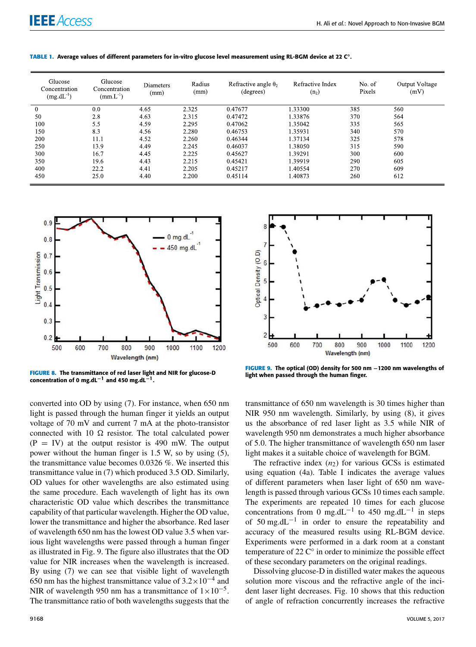| Glucose<br>Concentration<br>$(mg.dL^{-1})$ | Glucose<br>Concentration<br>$(mm.L^{-1})$ | Diameters<br>(mm) | Radius<br>(mm) | Refractive angle $\theta_2$<br>(degrees) | Refractive Index<br>(n <sub>2</sub> ) | No. of<br>Pixels | Output Voltage<br>(mV) |
|--------------------------------------------|-------------------------------------------|-------------------|----------------|------------------------------------------|---------------------------------------|------------------|------------------------|
| $\mathbf{0}$                               | 0.0                                       | 4.65              | 2.325          | 0.47677                                  | 1.33300                               | 385              | 560                    |
| 50                                         | 2.8                                       | 4.63              | 2.315          | 0.47472                                  | 1.33876                               | 370              | 564                    |
| 100                                        | 5.5                                       | 4.59              | 2.295          | 0.47062                                  | 1.35042                               | 335              | 565                    |
| 150                                        | 8.3                                       | 4.56              | 2.280          | 0.46753                                  | 1.35931                               | 340              | 570                    |
| 200                                        | 11.1                                      | 4.52              | 2.260          | 0.46344                                  | 1.37134                               | 325              | 578                    |
| 250                                        | 13.9                                      | 4.49              | 2.245          | 0.46037                                  | 1.38050                               | 315              | 590                    |
| 300                                        | 16.7                                      | 4.45              | 2.225          | 0.45627                                  | 1.39291                               | 300              | 600                    |
| 350                                        | 19.6                                      | 4.43              | 2.215          | 0.45421                                  | 1.39919                               | 290              | 605                    |
| 400                                        | 22.2                                      | 4.41              | 2.205          | 0.45217                                  | 1.40554                               | 270              | 609                    |
| 450                                        | 25.0                                      | 4.40              | 2.200          | 0.45114                                  | 1.40873                               | 260              | 612                    |

**TABLE 1.** Average values of different parameters for in-vitro glucose level measurement using RL-BGM device at 22 C◦ .



**FIGURE 8.** The transmittance of red laser light and NIR for glucose-D concentration of 0 mg.dL<sup>-1</sup> and 450 mg.dL<sup>-1</sup>.

converted into OD by using (7). For instance, when 650 nm light is passed through the human finger it yields an output voltage of 70 mV and current 7 mA at the photo-transistor connected with 10  $\Omega$  resistor. The total calculated power  $(P = IV)$  at the output resistor is 490 mW. The output power without the human finger is 1.5 W, so by using (5), the transmittance value becomes 0.0326 %. We inserted this transmittance value in (7) which produced 3.5 OD. Similarly, OD values for other wavelengths are also estimated using the same procedure. Each wavelength of light has its own characteristic OD value which describes the transmittance capability of that particular wavelength. Higher the OD value, lower the transmittance and higher the absorbance. Red laser of wavelength 650 nm has the lowest OD value 3.5 when various light wavelengths were passed through a human finger as illustrated in Fig. 9. The figure also illustrates that the OD value for NIR increases when the wavelength is increased. By using (7) we can see that visible light of wavelength 650 nm has the highest transmittance value of  $3.2 \times 10^{-4}$  and NIR of wavelength 950 nm has a transmittance of  $1 \times 10^{-5}$ . The transmittance ratio of both wavelengths suggests that the



**FIGURE 9.** The optical (OD) density for 500 nm −1200 nm wavelengths of light when passed through the human finger.

transmittance of 650 nm wavelength is 30 times higher than NIR 950 nm wavelength. Similarly, by using (8), it gives us the absorbance of red laser light as 3.5 while NIR of wavelength 950 nm demonstrates a much higher absorbance of 5.0. The higher transmittance of wavelength 650 nm laser light makes it a suitable choice of wavelength for BGM.

The refractive index  $(n_2)$  for various GCSs is estimated using equation (4a). Table I indicates the average values of different parameters when laser light of 650 nm wavelength is passed through various GCSs 10 times each sample. The experiments are repeated 10 times for each glucose concentrations from 0 mg.dL<sup>-1</sup> to 450 mg.dL<sup>-1</sup> in steps of 50 mg.dL−<sup>1</sup> in order to ensure the repeatability and accuracy of the measured results using RL-BGM device. Experiments were performed in a dark room at a constant temperature of 22  $\tilde{C}^\circ$  in order to minimize the possible effect of these secondary parameters on the original readings.

Dissolving glucose-D in distilled water makes the aqueous solution more viscous and the refractive angle of the incident laser light decreases. Fig. 10 shows that this reduction of angle of refraction concurrently increases the refractive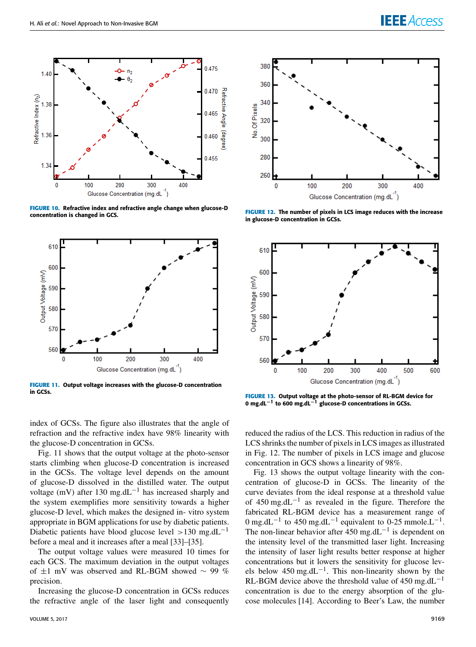

**FIGURE 10.** Refractive index and refractive angle change when glucose-D concentration is changed in GCS.



**FIGURE 11.** Output voltage increases with the glucose-D concentration in GCSs.

index of GCSs. The figure also illustrates that the angle of refraction and the refractive index have 98% linearity with the glucose-D concentration in GCSs.

Fig. 11 shows that the output voltage at the photo-sensor starts climbing when glucose-D concentration is increased in the GCSs. The voltage level depends on the amount of glucose-D dissolved in the distilled water. The output voltage (mV) after 130 mg.dL<sup>-1</sup> has increased sharply and the system exemplifies more sensitivity towards a higher glucose-D level, which makes the designed in- vitro system appropriate in BGM applications for use by diabetic patients. Diabetic patients have blood glucose level >130 mg.dL<sup>-1</sup> before a meal and it increases after a meal [33]–[35].

The output voltage values were measured 10 times for each GCS. The maximum deviation in the output voltages of ±1 mV was observed and RL-BGM showed ∼ 99 % precision.

Increasing the glucose-D concentration in GCSs reduces the refractive angle of the laser light and consequently



**FIGURE 12.** The number of pixels in LCS image reduces with the increase in glucose-D concentration in GCSs.



**FIGURE 13.** Output voltage at the photo-sensor of RL-BGM device for 0 mg.dL−<sup>1</sup> to 600 mg.dL−<sup>1</sup> glucose-D concentrations in GCSs.

reduced the radius of the LCS. This reduction in radius of the LCS shrinks the number of pixels in LCS images as illustrated in Fig. 12. The number of pixels in LCS image and glucose concentration in GCS shows a linearity of 98%.

Fig. 13 shows the output voltage linearity with the concentration of glucose-D in GCSs. The linearity of the curve deviates from the ideal response at a threshold value of 450 mg.dL<sup>-1</sup> as revealed in the figure. Therefore the fabricated RL-BGM device has a measurement range of 0 mg.dL<sup>-1</sup> to 450 mg.dL<sup>-1</sup> equivalent to 0-25 mmole.L<sup>-1</sup>. The non-linear behavior after  $450 \text{ mg}$ .dL<sup>-1</sup> is dependent on the intensity level of the transmitted laser light. Increasing the intensity of laser light results better response at higher concentrations but it lowers the sensitivity for glucose levels below  $450 \text{ mg}.dL^{-1}$ . This non-linearity shown by the RL-BGM device above the threshold value of 450 mg.dL<sup>-1</sup> concentration is due to the energy absorption of the glucose molecules [14]. According to Beer's Law, the number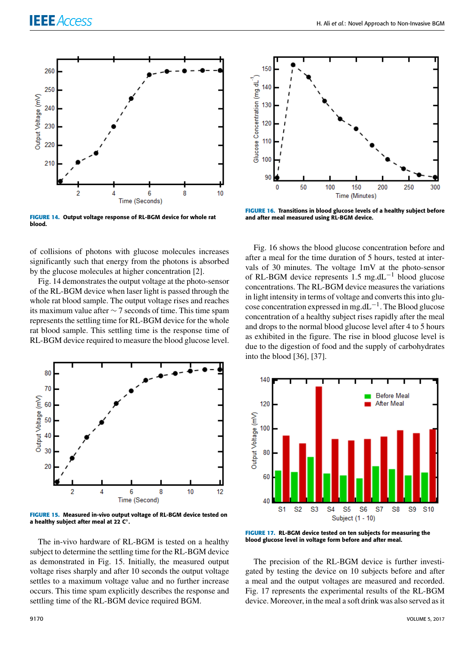

**FIGURE 14.** Output voltage response of RL-BGM device for whole rat blood.

of collisions of photons with glucose molecules increases significantly such that energy from the photons is absorbed by the glucose molecules at higher concentration [2].

Fig. 14 demonstrates the output voltage at the photo-sensor of the RL-BGM device when laser light is passed through the whole rat blood sample. The output voltage rises and reaches its maximum value after ∼ 7 seconds of time. This time spam represents the settling time for RL-BGM device for the whole rat blood sample. This settling time is the response time of RL-BGM device required to measure the blood glucose level.



**FIGURE 15.** Measured in-vivo output voltage of RL-BGM device tested on a healthy subject after meal at 22 C◦ .

The in-vivo hardware of RL-BGM is tested on a healthy subject to determine the settling time for the RL-BGM device as demonstrated in Fig. 15. Initially, the measured output voltage rises sharply and after 10 seconds the output voltage settles to a maximum voltage value and no further increase occurs. This time spam explicitly describes the response and settling time of the RL-BGM device required BGM.



**FIGURE 16.** Transitions in blood glucose levels of a healthy subject before and after meal measured using RL-BGM device.

Fig. 16 shows the blood glucose concentration before and after a meal for the time duration of 5 hours, tested at intervals of 30 minutes. The voltage 1mV at the photo-sensor of RL-BGM device represents 1.5 mg.dL<sup>-1</sup> blood glucose concentrations. The RL-BGM device measures the variations in light intensity in terms of voltage and converts this into glucose concentration expressed in mg.dL−<sup>1</sup> . The Blood glucose concentration of a healthy subject rises rapidly after the meal and drops to the normal blood glucose level after 4 to 5 hours as exhibited in the figure. The rise in blood glucose level is due to the digestion of food and the supply of carbohydrates into the blood [36], [37].



**FIGURE 17.** RL-BGM device tested on ten subjects for measuring the blood glucose level in voltage form before and after meal.

The precision of the RL-BGM device is further investigated by testing the device on 10 subjects before and after a meal and the output voltages are measured and recorded. Fig. 17 represents the experimental results of the RL-BGM device. Moreover, in the meal a soft drink was also served as it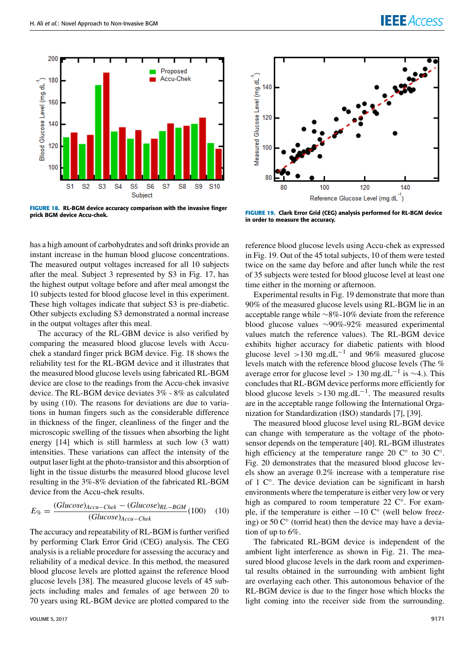

**FIGURE 18.** RL-BGM device accuracy comparison with the invasive finger prick BGM device Accu-chek.

has a high amount of carbohydrates and soft drinks provide an instant increase in the human blood glucose concentrations. The measured output voltages increased for all 10 subjects after the meal. Subject 3 represented by S3 in Fig. 17, has the highest output voltage before and after meal amongst the 10 subjects tested for blood glucose level in this experiment. These high voltages indicate that subject S3 is pre-diabetic. Other subjects excluding S3 demonstrated a normal increase in the output voltages after this meal.

The accuracy of the RL-GBM device is also verified by comparing the measured blood glucose levels with Accuchek a standard finger prick BGM device. Fig. 18 shows the reliability test for the RL-BGM device and it illustrates that the measured blood glucose levels using fabricated RL-BGM device are close to the readings from the Accu-chek invasive device. The RL-BGM device deviates 3% - 8% as calculated by using (10). The reasons for deviations are due to variations in human fingers such as the considerable difference in thickness of the finger, cleanliness of the finger and the microscopic swelling of the tissues when absorbing the light energy [14] which is still harmless at such low (3 watt) intensities. These variations can affect the intensity of the output laser light at the photo-transistor and this absorption of light in the tissue disturbs the measured blood glucose level resulting in the 3%-8% deviation of the fabricated RL-BGM device from the Accu-chek results.

$$
E_{\%} = \frac{(Glucose)_{Accu-Chek} - (Glucose)_{RL-BGM}}{(Glucose)_{Accu-Chek}} (100) \quad (10)
$$

The accuracy and repeatability of RL-BGM is further verified by performing Clark Error Grid (CEG) analysis. The CEG analysis is a reliable procedure for assessing the accuracy and reliability of a medical device. In this method, the measured blood glucose levels are plotted against the reference blood glucose levels [38]. The measured glucose levels of 45 subjects including males and females of age between 20 to 70 years using RL-BGM device are plotted compared to the





**FIGURE 19.** Clark Error Grid (CEG) analysis performed for RL-BGM device in order to measure the accuracy.

reference blood glucose levels using Accu-chek as expressed in Fig. 19. Out of the 45 total subjects, 10 of them were tested twice on the same day before and after lunch while the rest of 35 subjects were tested for blood glucose level at least one time either in the morning or afternoon.

Experimental results in Fig. 19 demonstrate that more than 90% of the measured glucose levels using RL-BGM lie in an acceptable range while ∼8%-10% deviate from the reference blood glucose values ∼90%-92% measured experimental values match the reference values). The RL-BGM device exhibits higher accuracy for diabetic patients with blood glucose level >130 mg.dL<sup>-1</sup> and 96% measured glucose levels match with the reference blood glucose levels (The % average error for glucose level > 130 mg.dL<sup>-1</sup> is ~4.). This concludes that RL-BGM device performs more efficiently for blood glucose levels >130 mg.dL<sup>-1</sup>. The measured results are in the acceptable range following the International Organization for Standardization (ISO) standards [7], [39].

The measured blood glucose level using RL-BGM device can change with temperature as the voltage of the photosensor depends on the temperature [40]. RL-BGM illustrates high efficiency at the temperature range 20  $\mathbb{C}^\circ$  to 30  $\mathbb{C}^\circ$ . Fig. 20 demonstrates that the measured blood glucose levels show an average 0.2% increase with a temperature rise of 1 C◦ . The device deviation can be significant in harsh environments where the temperature is either very low or very high as compared to room temperature 22  $\mathbb{C}^{\circ}$ . For example, if the temperature is either  $-10 \, \text{C}^\circ$  (well below freezing) or 50  $\mathbb{C}^{\circ}$  (torrid heat) then the device may have a deviation of up to 6%.

The fabricated RL-BGM device is independent of the ambient light interference as shown in Fig. 21. The measured blood glucose levels in the dark room and experimental results obtained in the surrounding with ambient light are overlaying each other. This autonomous behavior of the RL-BGM device is due to the finger hose which blocks the light coming into the receiver side from the surrounding.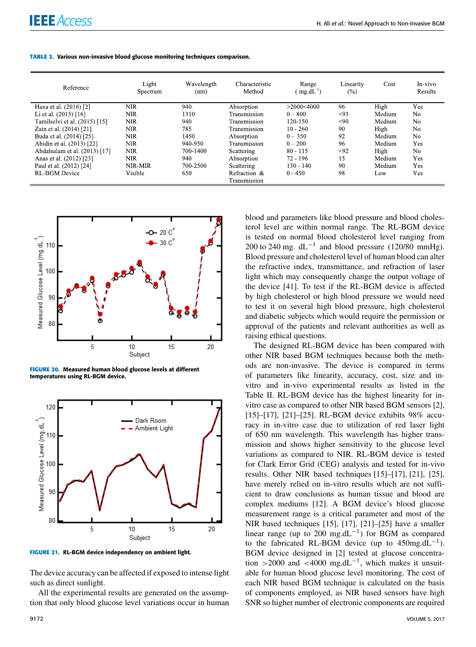| Reference                     | Light<br>Spectrum | Wavelength<br>(nm) | Characteristic<br>Method | Range<br>$\text{mg.dL}^{-1}$ | Linearity<br>$(\%)$ | Cost   | In-vivo<br>Results |
|-------------------------------|-------------------|--------------------|--------------------------|------------------------------|---------------------|--------|--------------------|
| Haxa et al. (2016) [2]        | NIR               | 940                | Absorption               | >2000<4000                   | 96                  | High   | Yes                |
| Li et al. $(2015)$ [16]       | <b>NIR</b>        | 1310               | Transmission             | $0 - 800$                    | < 93                | Medium | N <sub>o</sub>     |
| Tamilselvi et al. (2015) [15] | <b>NIR</b>        | 940                | Transmission             | 120-150                      | < 90                | Medium | No.                |
| Zain et al. (2014) [21]       | <b>NIR</b>        | 785                | Transmission             | $10 - 260$                   | 90                  | High   | No                 |
| Buda et al. (2014) [25]       | <b>NIR</b>        | 1450               | Absorption               | $0 - 350$                    | 92                  | Medium | N <sub>o</sub>     |
| Abidin et al. (2013) [22]     | <b>NIR</b>        | 940-950            | Transmission             | $0 - 200$                    | 96                  | Medium | Yes                |
| Abdalsalam et al. (2013) [17] | <b>NIR</b>        | 700-1400           | Scattering               | $80 - 115$                   | $92$                | High   | No.                |
| Anas et al. (2012) [23]       | NIR.              | 940                | Absorption               | $72 - 196$                   | 15                  | Medium | Yes                |
| Paul et al. (2012) [24]       | NIR-MIR           | 700-2500           | Scattering               | $130 - 140$                  | 90                  | Medium | Yes                |
| <b>RL-BGM</b> Device          | Visible           | 650                | Refraction &             | $0 - 450$                    | 98                  | Low    | Yes                |
|                               |                   |                    | Transmission             |                              |                     |        |                    |

**TABLE 2.** Various non-invasive blood glucose monitoring techniques comparison.



**FIGURE 20.** Measured human blood glucose levels at different temperatures using RL-BGM device.



**FIGURE 21.** RL-BGM device independency on ambient light.

The device accuracy can be affected if exposed to intense light such as direct sunlight.

All the experimental results are generated on the assumption that only blood glucose level variations occur in human

blood and parameters like blood pressure and blood cholesterol level are within normal range. The RL-BGM device is tested on normal blood cholesterol level ranging from 200 to 240 mg.  $dL^{-1}$  and blood pressure (120/80 mmHg). Blood pressure and cholesterol level of human blood can alter the refractive index, transmittance, and refraction of laser light which may consequently change the output voltage of the device [41]. To test if the RL-BGM device is affected by high cholesterol or high blood pressure we would need to test it on several high blood pressure, high cholesterol and diabetic subjects which would require the permission or approval of the patients and relevant authorities as well as raising ethical questions.

The designed RL-BGM device has been compared with other NIR based BGM techniques because both the methods are non-invasive. The device is compared in terms of parameters like linearity, accuracy, cost, size and invitro and in-vivo experimental results as listed in the Table II. RL-BGM device has the highest linearity for invitro case as compared to other NIR based BGM sensors [2], [15]–[17], [21]–[25]. RL-BGM device exhibits 98% accuracy in in-vitro case due to utilization of red laser light of 650 nm wavelength. This wavelength has higher transmission and shows higher sensitivity to the glucose level variations as compared to NIR. RL-BGM device is tested for Clark Error Grid (CEG) analysis and tested for in-vivo results. Other NIR based techniques [15]–[17], [21], [25], have merely relied on in-vitro results which are not sufficient to draw conclusions as human tissue and blood are complex mediums [12]. A BGM device's blood glucose measurement range is a critical parameter and most of the NIR based techniques [15], [17], [21]–[25] have a smaller linear range (up to 200 mg.dL<sup>-1</sup>) for BGM as compared to the fabricated RL-BGM device (up to  $450mg.dL^{-1}$ ). BGM device designed in [2] tested at glucose concentration >2000 and <4000 mg.dL<sup>-1</sup>, which makes it unsuitable for human blood glucose level monitoring. The cost of each NIR based BGM technique is calculated on the basis of components employed, as NIR based sensors have high SNR so higher number of electronic components are required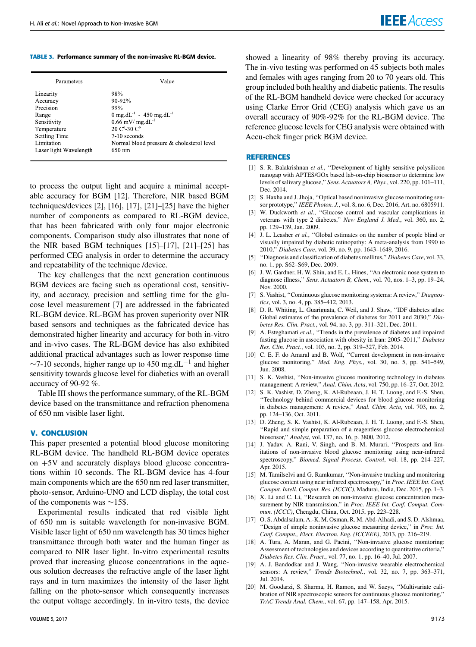**TABLE 3.** Performance summary of the non-invasive RL-BGM device.

| Parameters             | Value                                           |  |  |
|------------------------|-------------------------------------------------|--|--|
| Linearity              | 98%                                             |  |  |
| Accuracy               | $90 - 92%$                                      |  |  |
| Precision              | 99%                                             |  |  |
| Range                  | 0 mg.dL <sup>-1</sup> - 450 mg.dL <sup>-1</sup> |  |  |
| Sensitivity            | $0.66$ mV/ mg dL <sup>-1</sup>                  |  |  |
| Temperature            | $20 \text{ C}^{\circ}$ -30 $\text{C}^{\circ}$   |  |  |
| <b>Settling Time</b>   | 7-10 seconds                                    |  |  |
| Limitation             | Normal blood pressure & cholesterol level       |  |  |
| Laser light Wavelength | 650 nm                                          |  |  |

to process the output light and acquire a minimal acceptable accuracy for BGM [12]. Therefore, NIR based BGM techniques/devices [2], [16], [17], [21]–[25] have the higher number of components as compared to RL-BGM device, that has been fabricated with only four major electronic components. Comparison study also illustrates that none of the NIR based BGM techniques [15]–[17], [21]–[25] has performed CEG analysis in order to determine the accuracy and repeatability of the technique /device.

The key challenges that the next generation continuous BGM devices are facing such as operational cost, sensitivity, and accuracy, precision and settling time for the glucose level measurement [7] are addressed in the fabricated RL-BGM device. RL-BGM has proven superiority over NIR based sensors and techniques as the fabricated device has demonstrated higher linearity and accuracy for both in-vitro and in-vivo cases. The RL-BGM device has also exhibited additional practical advantages such as lower response time  $\sim$ 7-10 seconds, higher range up to 450 mg.dL<sup>-1</sup> and higher sensitivity towards glucose level for diabetics with an overall accuracy of 90-92 %.

Table III shows the performance summary, of the RL-BGM device based on the transmittance and refraction phenomena of 650 nm visible laser light.

#### **V. CONCLUSION**

This paper presented a potential blood glucose monitoring RL-BGM device. The handheld RL-BGM device operates on +5V and accurately displays blood glucose concentrations within 10 seconds. The RL-BGM device has 4-four main components which are the 650 nm red laser transmitter, photo-sensor, Arduino-UNO and LCD display, the total cost of the components was ∼15\$.

Experimental results indicated that red visible light of 650 nm is suitable wavelength for non-invasive BGM. Visible laser light of 650 nm wavelength has 30 times higher transmittance through both water and the human finger as compared to NIR laser light. In-vitro experimental results proved that increasing glucose concentrations in the aqueous solution decreases the refractive angle of the laser light rays and in turn maximizes the intensity of the laser light falling on the photo-sensor which consequently increases the output voltage accordingly. In in-vitro tests, the device

showed a linearity of 98% thereby proving its accuracy. The in-vivo testing was performed on 45 subjects both males and females with ages ranging from 20 to 70 years old. This group included both healthy and diabetic patients. The results of the RL-BGM handheld device were checked for accuracy using Clarke Error Grid (CEG) analysis which gave us an overall accuracy of 90%-92% for the RL-BGM device. The reference glucose levels for CEG analysis were obtained with Accu-chek finger prick BGM device.

## **REFERENCES**

- [1] S. R. Balakrishnan et al., "Development of highly sensitive polysilicon nanogap with APTES/GOx based lab-on-chip biosensor to determine low levels of salivary glucose,'' *Sens. Actuators A, Phys.*, vol. 220, pp. 101–111, Dec. 2014.
- [2] S. Haxha and J. Jhoja, ''Optical based noninvasive glucose monitoring sensor prototype,'' *IEEE Photon. J.*, vol. 8, no. 6, Dec. 2016, Art. no. 6805911.
- [3] W. Duckworth et al., "Glucose control and vascular complications in veterans with type 2 diabetes,'' *New England J. Med.*, vol. 360, no. 2, pp. 129–139, Jan. 2009.
- [4] J. L. Leasher *et al.*, "Global estimates on the number of people blind or visually impaired by diabetic retinopathy: A meta-analysis from 1990 to 2010,'' *Diabetes Care*, vol. 39, no. 9, pp. 1643–1649, 2016.
- [5] ''Diagnosis and classification of diabetes mellitus,'' *Diabetes Care*, vol. 33, no. 1, pp. S62–S69, Dec. 2009.
- [6] J. W. Gardner, H. W. Shin, and E. L. Hines, ''An electronic nose system to diagnose illness,'' *Sens. Actuators B, Chem.*, vol. 70, nos. 1–3, pp. 19–24, Nov. 2000.
- [7] S. Vashist, ''Continuous glucose monitoring systems: A review,'' *Diagnostics*, vol. 3, no. 4, pp. 385–412, 2013.
- [8] D. R. Whiting, L. Guariguata, C. Weil, and J. Shaw, ''IDF diabetes atlas: Global estimates of the prevalence of diabetes for 2011 and 2030,'' *Diabetes Res. Clin. Pract.*, vol. 94, no. 3, pp. 311–321, Dec. 2011.
- [9] A. Esteghamati et al., "Trends in the prevalence of diabetes and impaired fasting glucose in association with obesity in Iran: 2005–2011,'' *Diabetes Res. Clin. Pract.*, vol. 103, no. 2, pp. 319–327, Feb. 2014.
- [10] C. E. F. do Amaral and B. Wolf, "Current development in non-invasive glucose monitoring,'' *Med. Eng. Phys.*, vol. 30, no. 5, pp. 541–549, Jun. 2008.
- [11] S. K. Vashist, ''Non-invasive glucose monitoring technology in diabetes management: A review,'' *Anal. Chim. Acta*, vol. 750, pp. 16–27, Oct. 2012.
- [12] S. K. Vashist, D. Zheng, K. Al-Rubeaan, J. H. T. Luong, and F.-S. Sheu, ''Technology behind commercial devices for blood glucose monitoring in diabetes management: A review,'' *Anal. Chim. Acta*, vol. 703, no. 2, pp. 124–136, Oct. 2011.
- [13] D. Zheng, S. K. Vashist, K. Al-Rubeaan, J. H. T. Luong, and F.-S. Sheu, ''Rapid and simple preparation of a reagentless glucose electrochemical biosensor,'' *Analyst*, vol. 137, no. 16, p. 3800, 2012.
- [14] J. Yadav, A. Rani, V. Singh, and B. M. Murari, "Prospects and limitations of non-invasive blood glucose monitoring using near-infrared spectroscopy,'' *Biomed. Signal Process. Control*, vol. 18, pp. 214–227, Apr. 2015.
- [15] M. Tamilselvi and G. Ramkumar, "Non-invasive tracking and monitoring glucose content using near infrared spectroscopy,'' in *Proc. IEEE Int. Conf. Comput. Intell. Comput. Res. (ICCIC)*, Madurai, India, Dec. 2015, pp. 1–3.
- [16] X. Li and C. Li, "Research on non-invasive glucose concentration measurement by NIR transmission,'' in *Proc. IEEE Int. Conf. Comput. Commun. (ICCC)*, Chengdu, China, Oct. 2015, pp. 223–228.
- [17] O. S. Abdalsalam, A.-K. M. Osman, R. M. Abd-Alhadi, and S. D. Alshmaa, ''Design of simple noninvasive glucose measuring device,'' in *Proc. Int. Conf. Comput., Elect. Electron. Eng. (ICCEEE)*, 2013, pp. 216–219.
- [18] A. Tura, A. Maran, and G. Pacini, "Non-invasive glucose monitoring: Assessment of technologies and devices according to quantitative criteria,'' *Diabetes Res. Clin. Pract.*, vol. 77, no. 1, pp. 16–40, Jul. 2007.
- [19] A. J. Bandodkar and J. Wang, ''Non-invasive wearable electrochemical sensors: A review,'' *Trends Biotechnol.*, vol. 32, no. 7, pp. 363–371, Jul. 2014.
- [20] M. Goodarzi, S. Sharma, H. Ramon, and W. Saeys, ''Multivariate calibration of NIR spectroscopic sensors for continuous glucose monitoring,'' *TrAC Trends Anal. Chem.*, vol. 67, pp. 147–158, Apr. 2015.